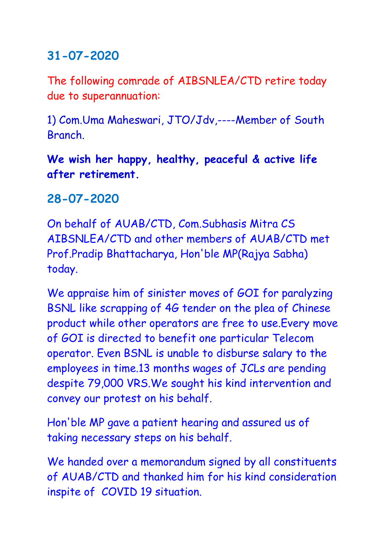## **31-07-2020**

The following comrade of AIBSNLEA/CTD retire today due to superannuation:

1) Com.Uma Maheswari, JTO/Jdv,----Member of South **Branch** 

**We wish her happy, healthy, peaceful & active life after retirement.**

## **28-07-2020**

On behalf of AUAB/CTD, Com.Subhasis Mitra CS AIBSNLEA/CTD and other members of AUAB/CTD met Prof.Pradip Bhattacharya, Hon'ble MP(Rajya Sabha) today.

We appraise him of sinister moves of GOI for paralyzing BSNL like scrapping of 4G tender on the plea of Chinese product while other operators are free to use.Every move of GOI is directed to benefit one particular Telecom operator. Even BSNL is unable to disburse salary to the employees in time.13 months wages of JCLs are pending despite 79,000 VRS.We sought his kind intervention and convey our protest on his behalf.

Hon'ble MP gave a patient hearing and assured us of taking necessary steps on his behalf.

We handed over a memorandum signed by all constituents of AUAB/CTD and thanked him for his kind consideration inspite of COVID 19 situation.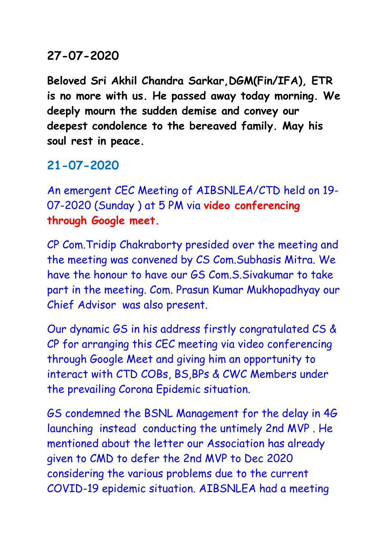#### **27-07-2020**

**Beloved Sri Akhil Chandra Sarkar,DGM(Fin/IFA), ETR is no more with us. He passed away today morning. We deeply mourn the sudden demise and convey our deepest condolence to the bereaved family. May his soul rest in peace.**

## **21-07-2020**

An emergent CEC Meeting of AIBSNLEA/CTD held on 19- 07-2020 (Sunday ) at 5 PM via **video conferencing through Google meet.** 

CP Com.Tridip Chakraborty presided over the meeting and the meeting was convened by CS Com.Subhasis Mitra. We have the honour to have our GS Com.S.Sivakumar to take part in the meeting. Com. Prasun Kumar Mukhopadhyay our Chief Advisor was also present.

Our dynamic GS in his address firstly congratulated CS & CP for arranging this CEC meeting via video conferencing through Google Meet and giving him an opportunity to interact with CTD COBs, BS,BPs & CWC Members under the prevailing Corona Epidemic situation.

GS condemned the BSNL Management for the delay in 4G launching instead conducting the untimely 2nd MVP . He mentioned about the letter our Association has already given to CMD to defer the 2nd MVP to Dec 2020 considering the various problems due to the current COVID-19 epidemic situation. AIBSNLEA had a meeting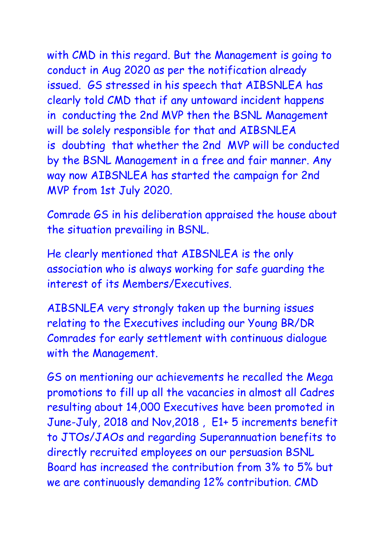with CMD in this regard. But the Management is going to conduct in Aug 2020 as per the notification already issued. GS stressed in his speech that AIBSNLEA has clearly told CMD that if any untoward incident happens in conducting the 2nd MVP then the BSNL Management will be solely responsible for that and AIBSNLEA is doubting that whether the 2nd MVP will be conducted by the BSNL Management in a free and fair manner. Any way now AIBSNLEA has started the campaign for 2nd MVP from 1st July 2020.

Comrade GS in his deliberation appraised the house about the situation prevailing in BSNL.

He clearly mentioned that AIBSNLEA is the only association who is always working for safe guarding the interest of its Members/Executives.

AIBSNLEA very strongly taken up the burning issues relating to the Executives including our Young BR/DR Comrades for early settlement with continuous dialogue with the Management.

GS on mentioning our achievements he recalled the Mega promotions to fill up all the vacancies in almost all Cadres resulting about 14,000 Executives have been promoted in June-July, 2018 and Nov,2018 , E1+ 5 increments benefit to JTOs/JAOs and regarding Superannuation benefits to directly recruited employees on our persuasion BSNL Board has increased the contribution from 3% to 5% but we are continuously demanding 12% contribution. CMD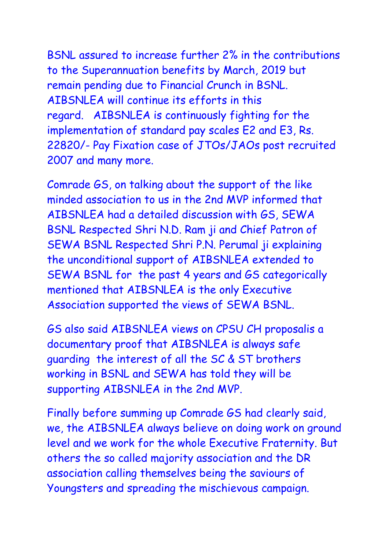BSNL assured to increase further 2% in the contributions to the Superannuation benefits by March, 2019 but remain pending due to Financial Crunch in BSNL. AIBSNLEA will continue its efforts in this regard. AIBSNLEA is continuously fighting for the implementation of standard pay scales E2 and E3, Rs. 22820/- Pay Fixation case of JTOs/JAOs post recruited 2007 and many more.

Comrade GS, on talking about the support of the like minded association to us in the 2nd MVP informed that AIBSNLEA had a detailed discussion with GS, SEWA BSNL Respected Shri N.D. Ram ji and Chief Patron of SEWA BSNL Respected Shri P.N. Perumal ji explaining the unconditional support of AIBSNLEA extended to SEWA BSNL for the past 4 years and GS categorically mentioned that AIBSNLEA is the only Executive Association supported the views of SEWA BSNL.

GS also said AIBSNLEA views on CPSU CH proposalis a documentary proof that AIBSNLEA is always safe guarding the interest of all the SC & ST brothers working in BSNL and SEWA has told they will be supporting AIBSNLEA in the 2nd MVP.

Finally before summing up Comrade GS had clearly said, we, the AIBSNLEA always believe on doing work on ground level and we work for the whole Executive Fraternity. But others the so called majority association and the DR association calling themselves being the saviours of Youngsters and spreading the mischievous campaign.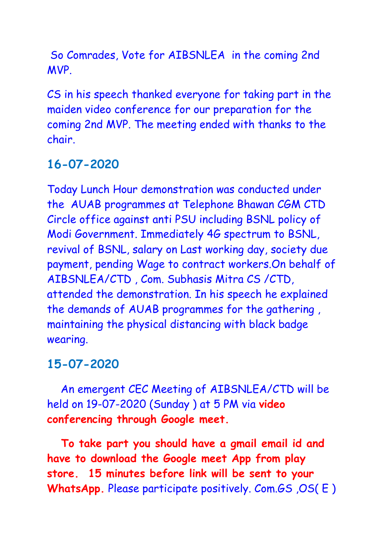So Comrades, Vote for AIBSNLEA in the coming 2nd MVP.

CS in his speech thanked everyone for taking part in the maiden video conference for our preparation for the coming 2nd MVP. The meeting ended with thanks to the chair.

# **16-07-2020**

Today Lunch Hour demonstration was conducted under the AUAB programmes at Telephone Bhawan CGM CTD Circle office against anti PSU including BSNL policy of Modi Government. Immediately 4G spectrum to BSNL, revival of BSNL, salary on Last working day, society due payment, pending Wage to contract workers.On behalf of AIBSNLEA/CTD , Com. Subhasis Mitra CS /CTD, attended the demonstration. In his speech he explained the demands of AUAB programmes for the gathering , maintaining the physical distancing with black badge wearing.

## **15-07-2020**

An emergent CEC Meeting of AIBSNLEA/CTD will be held on 19-07-2020 (Sunday ) at 5 PM via **video conferencing through Google meet.** 

**To take part you should have a gmail email id and have to download the Google meet App from play store. 15 minutes before link will be sent to your WhatsApp.** Please participate positively. Com.GS ,OS( E )